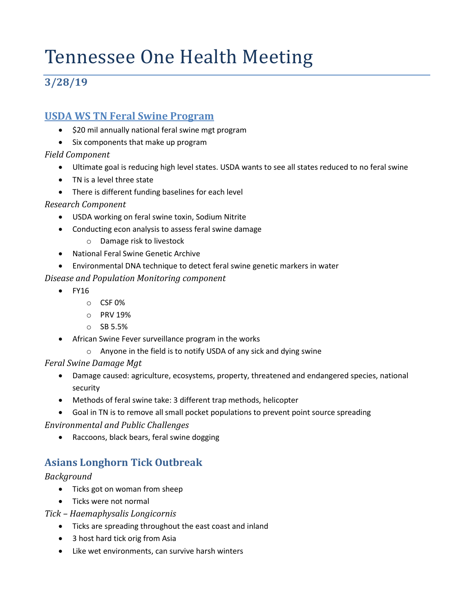# Tennessee One Health Meeting

## **3/28/19**

### **USDA WS TN Feral Swine Program**

- \$20 mil annually national feral swine mgt program
- Six components that make up program

#### *Field Component*

- Ultimate goal is reducing high level states. USDA wants to see all states reduced to no feral swine
- TN is a level three state
- There is different funding baselines for each level

#### *Research Component*

- USDA working on feral swine toxin, Sodium Nitrite
- Conducting econ analysis to assess feral swine damage
	- o Damage risk to livestock
- National Feral Swine Genetic Archive
- Environmental DNA technique to detect feral swine genetic markers in water

#### *Disease and Population Monitoring component*

- FY16
	- o CSF 0%
	- o PRV 19%
	- o SB 5.5%
- African Swine Fever surveillance program in the works
	- o Anyone in the field is to notify USDA of any sick and dying swine

#### *Feral Swine Damage Mgt*

- Damage caused: agriculture, ecosystems, property, threatened and endangered species, national security
- Methods of feral swine take: 3 different trap methods, helicopter
- Goal in TN is to remove all small pocket populations to prevent point source spreading

#### *Environmental and Public Challenges*

• Raccoons, black bears, feral swine dogging

## **Asians Longhorn Tick Outbreak**

#### *Background*

- Ticks got on woman from sheep
- Ticks were not normal

#### *Tick – Haemaphysalis Longicornis*

- Ticks are spreading throughout the east coast and inland
- 3 host hard tick orig from Asia
- Like wet environments, can survive harsh winters